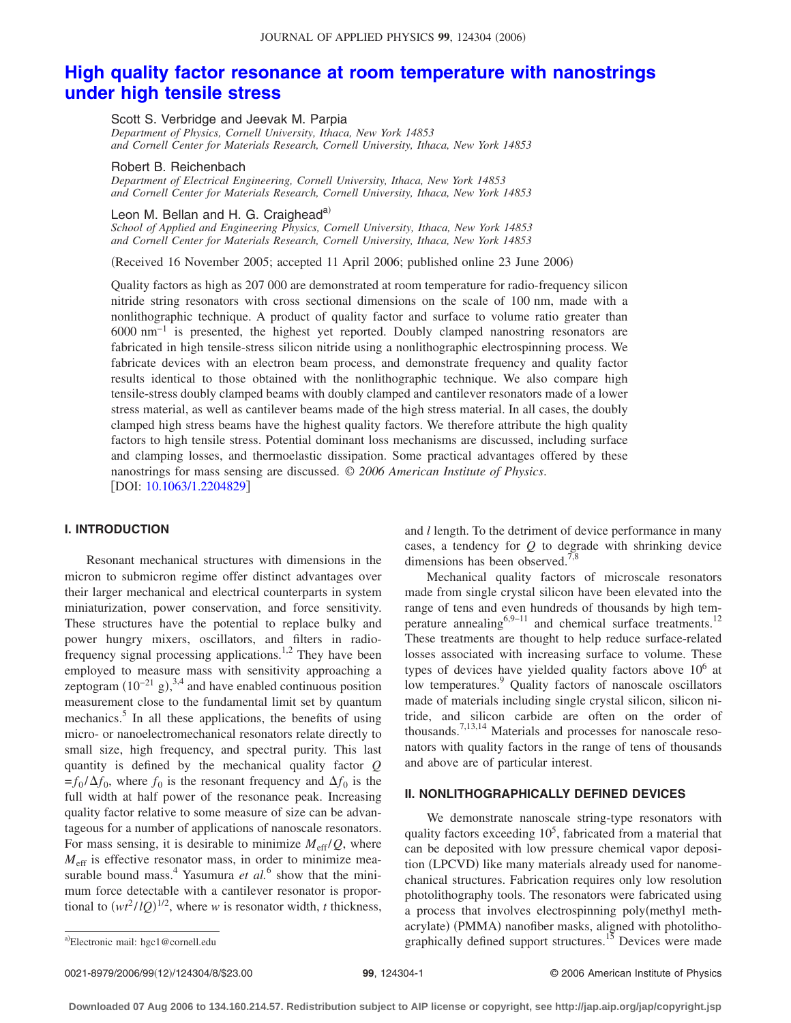# **[High quality factor resonance at room temperature with nanostrings](http://dx.doi.org/10.1063/1.2204829) [under high tensile stress](http://dx.doi.org/10.1063/1.2204829)**

Scott S. Verbridge and Jeevak M. Parpia

*Department of Physics, Cornell University, Ithaca, New York 14853 and Cornell Center for Materials Research, Cornell University, Ithaca, New York 14853*

Robert B. Reichenbach

*Department of Electrical Engineering, Cornell University, Ithaca, New York 14853 and Cornell Center for Materials Research, Cornell University, Ithaca, New York 14853*

Leon M. Bellan and H. G. Craighead<sup>a)</sup>

*School of Applied and Engineering Physics, Cornell University, Ithaca, New York 14853 and Cornell Center for Materials Research, Cornell University, Ithaca, New York 14853*

(Received 16 November 2005; accepted 11 April 2006; published online 23 June 2006)

Quality factors as high as 207 000 are demonstrated at room temperature for radio-frequency silicon nitride string resonators with cross sectional dimensions on the scale of 100 nm, made with a nonlithographic technique. A product of quality factor and surface to volume ratio greater than 6000 nm−1 is presented, the highest yet reported. Doubly clamped nanostring resonators are fabricated in high tensile-stress silicon nitride using a nonlithographic electrospinning process. We fabricate devices with an electron beam process, and demonstrate frequency and quality factor results identical to those obtained with the nonlithographic technique. We also compare high tensile-stress doubly clamped beams with doubly clamped and cantilever resonators made of a lower stress material, as well as cantilever beams made of the high stress material. In all cases, the doubly clamped high stress beams have the highest quality factors. We therefore attribute the high quality factors to high tensile stress. Potential dominant loss mechanisms are discussed, including surface and clamping losses, and thermoelastic dissipation. Some practical advantages offered by these nanostrings for mass sensing are discussed. © *2006 American Institute of Physics*. [DOI: [10.1063/1.2204829](http://dx.doi.org/10.1063/1.2204829)]

### **I. INTRODUCTION**

Resonant mechanical structures with dimensions in the micron to submicron regime offer distinct advantages over their larger mechanical and electrical counterparts in system miniaturization, power conservation, and force sensitivity. These structures have the potential to replace bulky and power hungry mixers, oscillators, and filters in radiofrequency signal processing applications.<sup>1,2</sup> They have been employed to measure mass with sensitivity approaching a zeptogram  $(10^{-21} \text{ g})$ ,<sup>3,4</sup> and have enabled continuous position measurement close to the fundamental limit set by quantum mechanics.<sup>5</sup> In all these applications, the benefits of using micro- or nanoelectromechanical resonators relate directly to small size, high frequency, and spectral purity. This last quantity is defined by the mechanical quality factor *Q*  $=f_0 / \Delta f_0$ , where  $f_0$  is the resonant frequency and  $\Delta f_0$  is the full width at half power of the resonance peak. Increasing quality factor relative to some measure of size can be advantageous for a number of applications of nanoscale resonators. For mass sensing, it is desirable to minimize  $M_{\text{eff}}/Q$ , where  $M_{\text{eff}}$  is effective resonator mass, in order to minimize measurable bound mass.<sup>4</sup> Yasumura *et al.*<sup>6</sup> show that the minimum force detectable with a cantilever resonator is proportional to  $(wt^2/lQ)^{1/2}$ , where *w* is resonator width, *t* thickness,

and *l* length. To the detriment of device performance in many cases, a tendency for *Q* to degrade with shrinking device dimensions has been observed.<sup>7,8</sup>

Mechanical quality factors of microscale resonators made from single crystal silicon have been elevated into the range of tens and even hundreds of thousands by high temperature annealing $6.9-11$  and chemical surface treatments.<sup>12</sup> These treatments are thought to help reduce surface-related losses associated with increasing surface to volume. These types of devices have yielded quality factors above  $10<sup>6</sup>$  at low temperatures.<sup>9</sup> Quality factors of nanoscale oscillators made of materials including single crystal silicon, silicon nitride, and silicon carbide are often on the order of thousands.7,13,14 Materials and processes for nanoscale resonators with quality factors in the range of tens of thousands and above are of particular interest.

#### **II. NONLITHOGRAPHICALLY DEFINED DEVICES**

We demonstrate nanoscale string-type resonators with quality factors exceeding  $10<sup>5</sup>$ , fabricated from a material that can be deposited with low pressure chemical vapor deposition (LPCVD) like many materials already used for nanomechanical structures. Fabrication requires only low resolution photolithography tools. The resonators were fabricated using a process that involves electrospinning poly(methyl methacrylate) (PMMA) nanofiber masks, aligned with photolithographically defined support structures.<sup>15</sup> Devices were made

0021-8979/2006/99(12)/124304/8/\$23.00

Electronic mail: hgc1@cornell.edu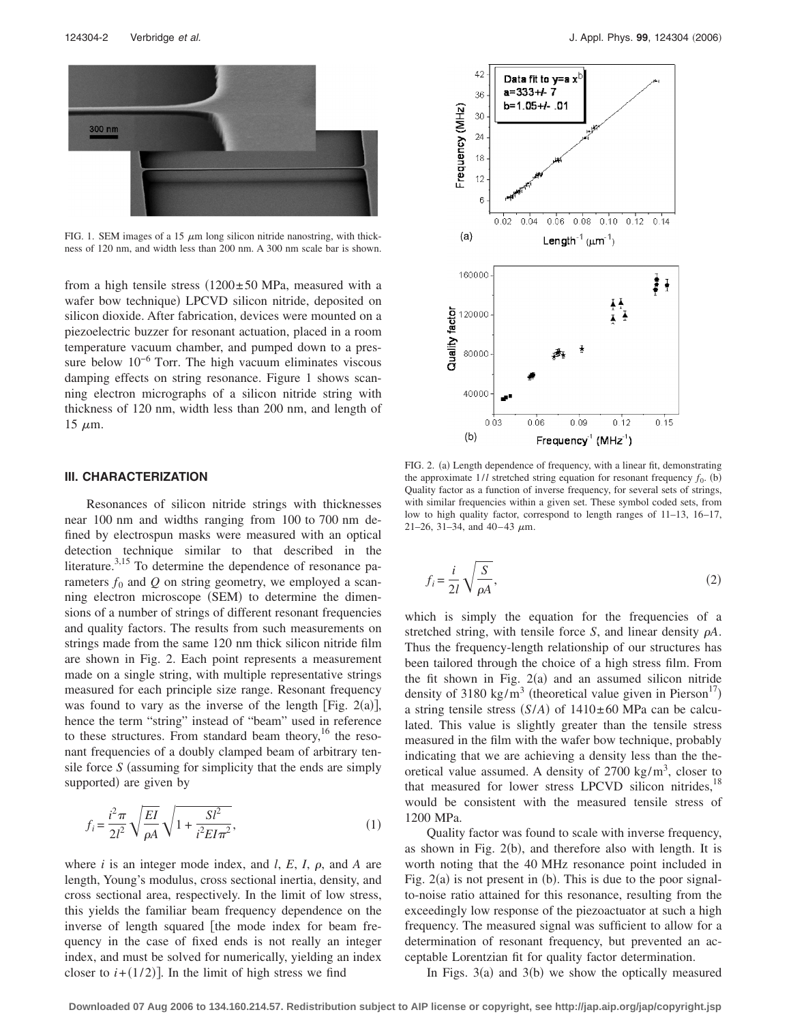

FIG. 1. SEM images of a 15  $\mu$ m long silicon nitride nanostring, with thickness of 120 nm, and width less than 200 nm. A 300 nm scale bar is shown.

from a high tensile stress  $(1200 \pm 50 \text{ MPa})$ , measured with a wafer bow technique) LPCVD silicon nitride, deposited on silicon dioxide. After fabrication, devices were mounted on a piezoelectric buzzer for resonant actuation, placed in a room temperature vacuum chamber, and pumped down to a pressure below 10<sup>−6</sup> Torr. The high vacuum eliminates viscous damping effects on string resonance. Figure 1 shows scanning electron micrographs of a silicon nitride string with thickness of 120 nm, width less than 200 nm, and length of  $15 \mu m$ .

#### **III. CHARACTERIZATION**

Resonances of silicon nitride strings with thicknesses near 100 nm and widths ranging from 100 to 700 nm defined by electrospun masks were measured with an optical detection technique similar to that described in the literature.<sup>3,15</sup> To determine the dependence of resonance parameters  $f_0$  and  $Q$  on string geometry, we employed a scanning electron microscope (SEM) to determine the dimensions of a number of strings of different resonant frequencies and quality factors. The results from such measurements on strings made from the same 120 nm thick silicon nitride film are shown in Fig. 2. Each point represents a measurement made on a single string, with multiple representative strings measured for each principle size range. Resonant frequency was found to vary as the inverse of the length [Fig.  $2(a)$ ], hence the term "string" instead of "beam" used in reference to these structures. From standard beam theory,<sup>16</sup> the resonant frequencies of a doubly clamped beam of arbitrary tensile force  $S$  (assuming for simplicity that the ends are simply supported) are given by

$$
f_i = \frac{i^2 \pi}{2l^2} \sqrt{\frac{EI}{\rho A}} \sqrt{1 + \frac{Sl^2}{i^2 EI \pi^2}},
$$
 (1)

where *i* is an integer mode index, and *l*, *E*, *I*,  $\rho$ , and *A* are length, Young's modulus, cross sectional inertia, density, and cross sectional area, respectively. In the limit of low stress, this yields the familiar beam frequency dependence on the inverse of length squared the mode index for beam frequency in the case of fixed ends is not really an integer index, and must be solved for numerically, yielding an index closer to  $i + (1/2)$ . In the limit of high stress we find



FIG. 2. (a) Length dependence of frequency, with a linear fit, demonstrating the approximate  $1/l$  stretched string equation for resonant frequency  $f_0$ . (b) Quality factor as a function of inverse frequency, for several sets of strings, with similar frequencies within a given set. These symbol coded sets, from low to high quality factor, correspond to length ranges of 11–13, 16–17, 21–26, 31–34, and  $40-43 \mu m$ .

$$
f_i = \frac{i}{2l} \sqrt{\frac{S}{\rho A}},\tag{2}
$$

which is simply the equation for the frequencies of a stretched string, with tensile force *S*, and linear density *A*. Thus the frequency-length relationship of our structures has been tailored through the choice of a high stress film. From the fit shown in Fig.  $2(a)$  and an assumed silicon nitride density of 3180 kg/m<sup>3</sup> (theoretical value given in Pierson<sup>17</sup>) a string tensile stress  $(S/A)$  of  $1410±60$  MPa can be calculated. This value is slightly greater than the tensile stress measured in the film with the wafer bow technique, probably indicating that we are achieving a density less than the theoretical value assumed. A density of  $2700 \text{ kg/m}^3$ , closer to that measured for lower stress LPCVD silicon nitrides,<sup>18</sup> would be consistent with the measured tensile stress of 1200 MPa.

Quality factor was found to scale with inverse frequency, as shown in Fig. 2(b), and therefore also with length. It is worth noting that the 40 MHz resonance point included in Fig.  $2(a)$  is not present in (b). This is due to the poor signalto-noise ratio attained for this resonance, resulting from the exceedingly low response of the piezoactuator at such a high frequency. The measured signal was sufficient to allow for a determination of resonant frequency, but prevented an acceptable Lorentzian fit for quality factor determination.

In Figs.  $3(a)$  and  $3(b)$  we show the optically measured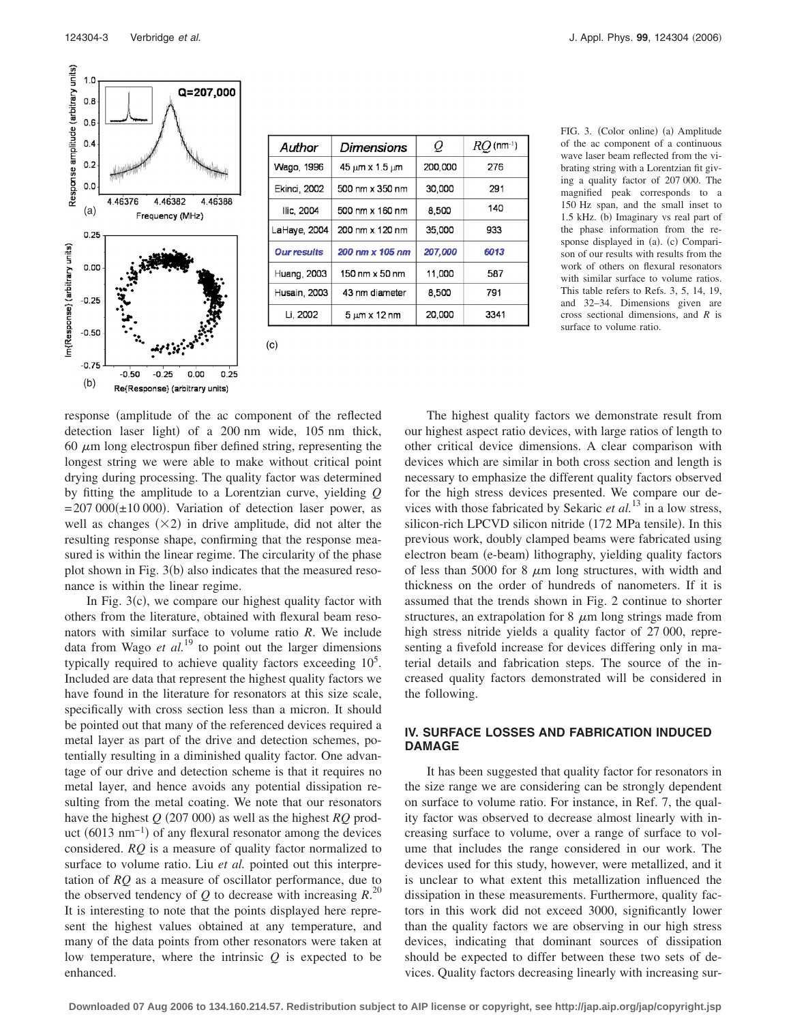

| Author             | Dimensions      | Q       | $RQ$ (nm-1) |
|--------------------|-----------------|---------|-------------|
| Wago, 1996         | 45 µm x 1.5 µm  | 200,000 | 276         |
| Ekinci, 2002       | 500 nm x 350 nm | 30,000  | 291         |
| Ilic. 2004         | 500 nm x 160 nm | 8,500   | 140         |
| LaHaye, 2004       | 200 nm x 120 nm | 35,000  | 933         |
| <b>Our results</b> | 200 nm x 105 nm | 207,000 | 6013        |
| Huang, 2003        | 150 nm x 50 nm  | 11.000  | 587         |
| Husain, 2003       | 43 nm diameter  | 8,500   | 791         |
| Li. 2002           | 5 um x 12 nm    | 20,000  | 3341        |

response (amplitude of the ac component of the reflected detection laser light) of a 200 nm wide, 105 nm thick, 60  $\mu$ m long electrospun fiber defined string, representing the longest string we were able to make without critical point drying during processing. The quality factor was determined by fitting the amplitude to a Lorentzian curve, yielding *Q*  $=$  207 000( $\pm$ 10 000). Variation of detection laser power, as

 $(c)$ 

well as changes  $(\times 2)$  in drive amplitude, did not alter the resulting response shape, confirming that the response measured is within the linear regime. The circularity of the phase plot shown in Fig. 3(b) also indicates that the measured resonance is within the linear regime.

In Fig.  $3(c)$ , we compare our highest quality factor with others from the literature, obtained with flexural beam resonators with similar surface to volume ratio *R*. We include data from Wago  $et \ al.<sup>19</sup>$  to point out the larger dimensions typically required to achieve quality factors exceeding  $10<sup>5</sup>$ . Included are data that represent the highest quality factors we have found in the literature for resonators at this size scale, specifically with cross section less than a micron. It should be pointed out that many of the referenced devices required a metal layer as part of the drive and detection schemes, potentially resulting in a diminished quality factor. One advantage of our drive and detection scheme is that it requires no metal layer, and hence avoids any potential dissipation resulting from the metal coating. We note that our resonators have the highest  $Q$  (207 000) as well as the highest  $RQ$  product  $(6013 \text{ nm}^{-1})$  of any flexural resonator among the devices considered. *RQ* is a measure of quality factor normalized to surface to volume ratio. Liu *et al.* pointed out this interpretation of *RQ* as a measure of oscillator performance, due to the observed tendency of  $Q$  to decrease with increasing  $R$ .<sup>20</sup> It is interesting to note that the points displayed here represent the highest values obtained at any temperature, and many of the data points from other resonators were taken at low temperature, where the intrinsic *Q* is expected to be enhanced.

FIG. 3. (Color online) (a) Amplitude of the ac component of a continuous wave laser beam reflected from the vibrating string with a Lorentzian fit giving a quality factor of 207 000. The magnified peak corresponds to a 150 Hz span, and the small inset to 1.5 kHz. (b) Imaginary vs real part of the phase information from the response displayed in (a). (c) Comparison of our results with results from the work of others on flexural resonators with similar surface to volume ratios. This table refers to Refs. 3, 5, 14, 19, and 32–34. Dimensions given are cross sectional dimensions, and *R* is surface to volume ratio.

The highest quality factors we demonstrate result from our highest aspect ratio devices, with large ratios of length to other critical device dimensions. A clear comparison with devices which are similar in both cross section and length is necessary to emphasize the different quality factors observed for the high stress devices presented. We compare our devices with those fabricated by Sekaric *et al.*<sup>13</sup> in a low stress, silicon-rich LPCVD silicon nitride (172 MPa tensile). In this previous work, doubly clamped beams were fabricated using electron beam (e-beam) lithography, yielding quality factors of less than 5000 for 8  $\mu$ m long structures, with width and thickness on the order of hundreds of nanometers. If it is assumed that the trends shown in Fig. 2 continue to shorter structures, an extrapolation for 8  $\mu$ m long strings made from high stress nitride yields a quality factor of 27 000, representing a fivefold increase for devices differing only in material details and fabrication steps. The source of the increased quality factors demonstrated will be considered in the following.

## **IV. SURFACE LOSSES AND FABRICATION INDUCED DAMAGE**

It has been suggested that quality factor for resonators in the size range we are considering can be strongly dependent on surface to volume ratio. For instance, in Ref. 7, the quality factor was observed to decrease almost linearly with increasing surface to volume, over a range of surface to volume that includes the range considered in our work. The devices used for this study, however, were metallized, and it is unclear to what extent this metallization influenced the dissipation in these measurements. Furthermore, quality factors in this work did not exceed 3000, significantly lower than the quality factors we are observing in our high stress devices, indicating that dominant sources of dissipation should be expected to differ between these two sets of devices. Quality factors decreasing linearly with increasing sur-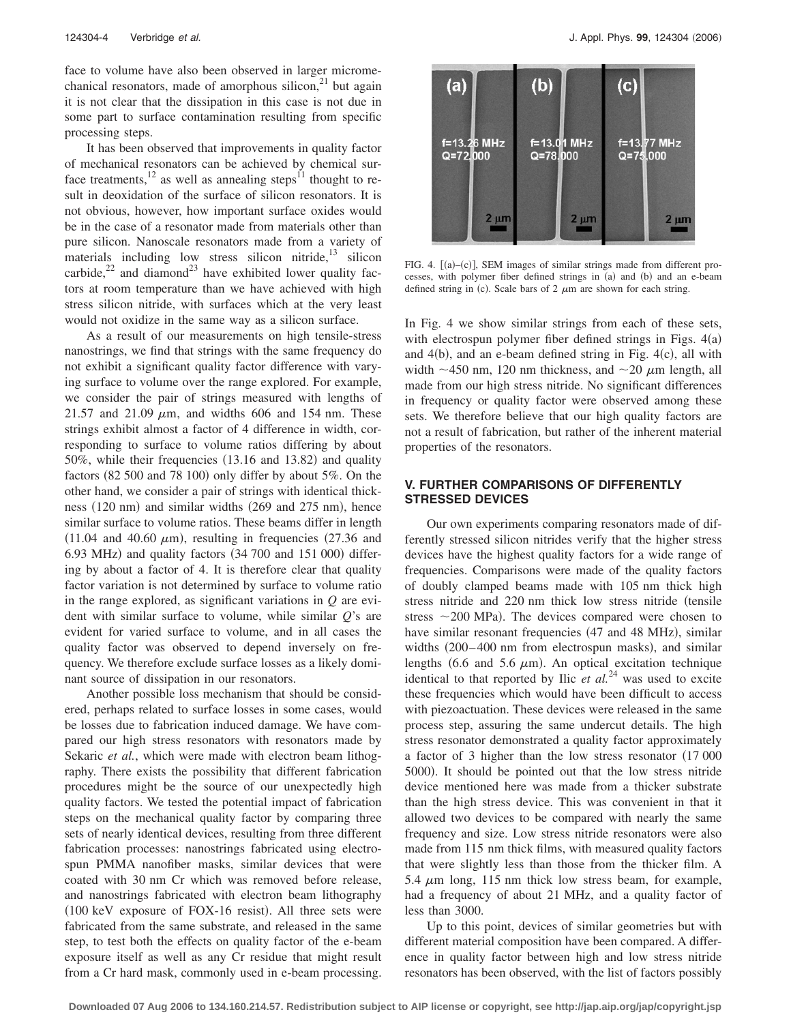face to volume have also been observed in larger micromechanical resonators, made of amorphous silicon, $21$  but again it is not clear that the dissipation in this case is not due in some part to surface contamination resulting from specific processing steps.

It has been observed that improvements in quality factor of mechanical resonators can be achieved by chemical surface treatments,<sup>12</sup> as well as annealing steps<sup>11</sup> thought to result in deoxidation of the surface of silicon resonators. It is not obvious, however, how important surface oxides would be in the case of a resonator made from materials other than pure silicon. Nanoscale resonators made from a variety of materials including low stress silicon nitride, $13$  silicon carbide, $^{22}$  and diamond<sup>23</sup> have exhibited lower quality factors at room temperature than we have achieved with high stress silicon nitride, with surfaces which at the very least would not oxidize in the same way as a silicon surface.

As a result of our measurements on high tensile-stress nanostrings, we find that strings with the same frequency do not exhibit a significant quality factor difference with varying surface to volume over the range explored. For example, we consider the pair of strings measured with lengths of 21.57 and 21.09  $\mu$ m, and widths 606 and 154 nm. These strings exhibit almost a factor of 4 difference in width, corresponding to surface to volume ratios differing by about 50%, while their frequencies (13.16 and 13.82) and quality factors  $(82 500$  and  $78 100)$  only differ by about  $5\%$ . On the other hand, we consider a pair of strings with identical thickness (120 nm) and similar widths (269 and 275 nm), hence similar surface to volume ratios. These beams differ in length (11.04 and 40.60  $\mu$ m), resulting in frequencies (27.36 and  $6.93$  MHz) and quality factors  $(34 700$  and  $151 000)$  differing by about a factor of 4. It is therefore clear that quality factor variation is not determined by surface to volume ratio in the range explored, as significant variations in *Q* are evident with similar surface to volume, while similar *Q*'s are evident for varied surface to volume, and in all cases the quality factor was observed to depend inversely on frequency. We therefore exclude surface losses as a likely dominant source of dissipation in our resonators.

Another possible loss mechanism that should be considered, perhaps related to surface losses in some cases, would be losses due to fabrication induced damage. We have compared our high stress resonators with resonators made by Sekaric *et al.*, which were made with electron beam lithography. There exists the possibility that different fabrication procedures might be the source of our unexpectedly high quality factors. We tested the potential impact of fabrication steps on the mechanical quality factor by comparing three sets of nearly identical devices, resulting from three different fabrication processes: nanostrings fabricated using electrospun PMMA nanofiber masks, similar devices that were coated with 30 nm Cr which was removed before release, and nanostrings fabricated with electron beam lithography  $(100 \text{ keV}$  exposure of FOX-16 resist). All three sets were fabricated from the same substrate, and released in the same step, to test both the effects on quality factor of the e-beam exposure itself as well as any Cr residue that might result from a Cr hard mask, commonly used in e-beam processing.



FIG. 4.  $[(a)-(c)]$ , SEM images of similar strings made from different processes, with polymer fiber defined strings in (a) and (b) and an e-beam defined string in (c). Scale bars of 2  $\mu$ m are shown for each string.

In Fig. 4 we show similar strings from each of these sets, with electrospun polymer fiber defined strings in Figs.  $4(a)$ and  $4(b)$ , and an e-beam defined string in Fig.  $4(c)$ , all with width  $\sim$  450 nm, 120 nm thickness, and  $\sim$  20  $\mu$ m length, all made from our high stress nitride. No significant differences in frequency or quality factor were observed among these sets. We therefore believe that our high quality factors are not a result of fabrication, but rather of the inherent material properties of the resonators.

## **V. FURTHER COMPARISONS OF DIFFERENTLY STRESSED DEVICES**

Our own experiments comparing resonators made of differently stressed silicon nitrides verify that the higher stress devices have the highest quality factors for a wide range of frequencies. Comparisons were made of the quality factors of doubly clamped beams made with 105 nm thick high stress nitride and 220 nm thick low stress nitride (tensile stress  $\sim$  200 MPa). The devices compared were chosen to have similar resonant frequencies (47 and 48 MHz), similar widths (200-400 nm from electrospun masks), and similar lengths (6.6 and 5.6  $\mu$ m). An optical excitation technique identical to that reported by Ilic  $et al.<sup>24</sup>$  was used to excite these frequencies which would have been difficult to access with piezoactuation. These devices were released in the same process step, assuring the same undercut details. The high stress resonator demonstrated a quality factor approximately a factor of 3 higher than the low stress resonator  $(17000)$ 5000). It should be pointed out that the low stress nitride device mentioned here was made from a thicker substrate than the high stress device. This was convenient in that it allowed two devices to be compared with nearly the same frequency and size. Low stress nitride resonators were also made from 115 nm thick films, with measured quality factors that were slightly less than those from the thicker film. A 5.4  $\mu$ m long, 115 nm thick low stress beam, for example, had a frequency of about 21 MHz, and a quality factor of less than 3000.

Up to this point, devices of similar geometries but with different material composition have been compared. A difference in quality factor between high and low stress nitride resonators has been observed, with the list of factors possibly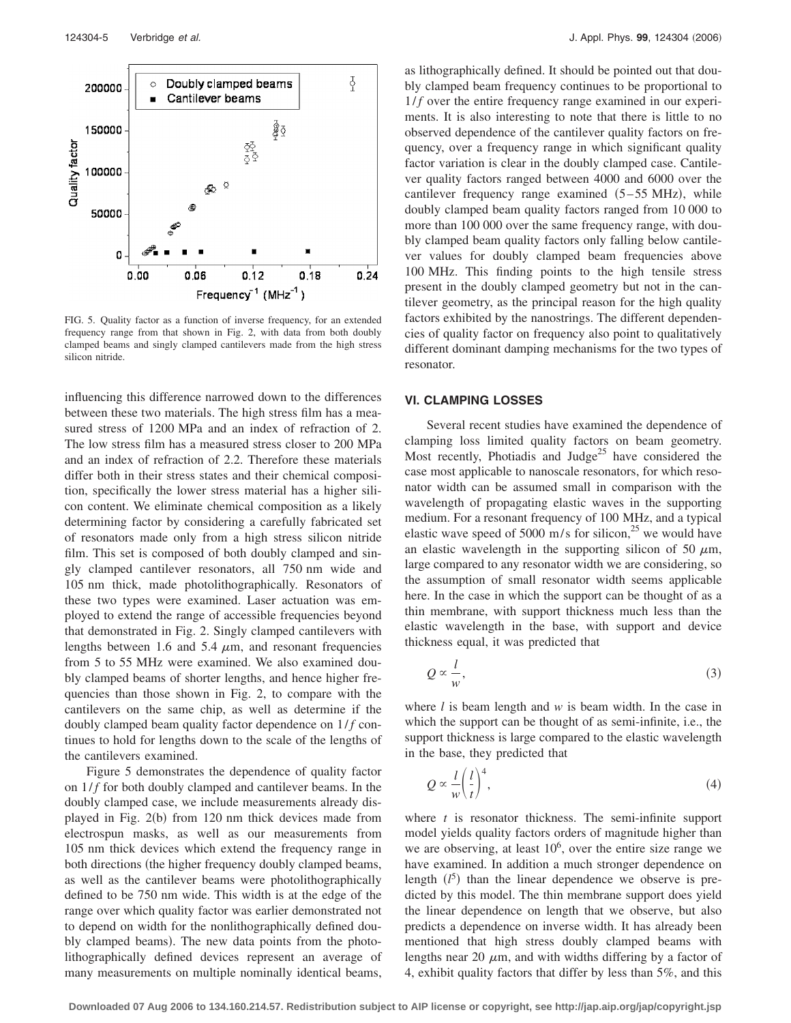

FIG. 5. Quality factor as a function of inverse frequency, for an extended frequency range from that shown in Fig. 2, with data from both doubly clamped beams and singly clamped cantilevers made from the high stress silicon nitride.

influencing this difference narrowed down to the differences between these two materials. The high stress film has a measured stress of 1200 MPa and an index of refraction of 2. The low stress film has a measured stress closer to 200 MPa and an index of refraction of 2.2. Therefore these materials differ both in their stress states and their chemical composition, specifically the lower stress material has a higher silicon content. We eliminate chemical composition as a likely determining factor by considering a carefully fabricated set of resonators made only from a high stress silicon nitride film. This set is composed of both doubly clamped and singly clamped cantilever resonators, all 750 nm wide and 105 nm thick, made photolithographically. Resonators of these two types were examined. Laser actuation was employed to extend the range of accessible frequencies beyond that demonstrated in Fig. 2. Singly clamped cantilevers with lengths between 1.6 and 5.4  $\mu$ m, and resonant frequencies from 5 to 55 MHz were examined. We also examined doubly clamped beams of shorter lengths, and hence higher frequencies than those shown in Fig. 2, to compare with the cantilevers on the same chip, as well as determine if the doubly clamped beam quality factor dependence on  $1/f$  continues to hold for lengths down to the scale of the lengths of the cantilevers examined.

Figure 5 demonstrates the dependence of quality factor on  $1/f$  for both doubly clamped and cantilever beams. In the doubly clamped case, we include measurements already displayed in Fig. 2(b) from 120 nm thick devices made from electrospun masks, as well as our measurements from 105 nm thick devices which extend the frequency range in both directions (the higher frequency doubly clamped beams, as well as the cantilever beams were photolithographically defined to be 750 nm wide. This width is at the edge of the range over which quality factor was earlier demonstrated not to depend on width for the nonlithographically defined doubly clamped beams). The new data points from the photolithographically defined devices represent an average of many measurements on multiple nominally identical beams, as lithographically defined. It should be pointed out that doubly clamped beam frequency continues to be proportional to 1/*f* over the entire frequency range examined in our experiments. It is also interesting to note that there is little to no observed dependence of the cantilever quality factors on frequency, over a frequency range in which significant quality factor variation is clear in the doubly clamped case. Cantilever quality factors ranged between 4000 and 6000 over the cantilever frequency range examined  $(5-55 \text{ MHz})$ , while doubly clamped beam quality factors ranged from 10 000 to more than 100 000 over the same frequency range, with doubly clamped beam quality factors only falling below cantilever values for doubly clamped beam frequencies above 100 MHz. This finding points to the high tensile stress present in the doubly clamped geometry but not in the cantilever geometry, as the principal reason for the high quality factors exhibited by the nanostrings. The different dependencies of quality factor on frequency also point to qualitatively different dominant damping mechanisms for the two types of resonator.

#### **VI. CLAMPING LOSSES**

Several recent studies have examined the dependence of clamping loss limited quality factors on beam geometry. Most recently, Photiadis and Judge<sup>25</sup> have considered the case most applicable to nanoscale resonators, for which resonator width can be assumed small in comparison with the wavelength of propagating elastic waves in the supporting medium. For a resonant frequency of 100 MHz, and a typical elastic wave speed of 5000 m/s for silicon,<sup>25</sup> we would have an elastic wavelength in the supporting silicon of 50  $\mu$ m, large compared to any resonator width we are considering, so the assumption of small resonator width seems applicable here. In the case in which the support can be thought of as a thin membrane, with support thickness much less than the elastic wavelength in the base, with support and device thickness equal, it was predicted that

$$
Q \propto \frac{l}{w},\tag{3}
$$

where *l* is beam length and *w* is beam width. In the case in which the support can be thought of as semi-infinite, i.e., the support thickness is large compared to the elastic wavelength in the base, they predicted that

$$
Q \propto \frac{l}{w} \left(\frac{l}{t}\right)^4,\tag{4}
$$

where *t* is resonator thickness. The semi-infinite support model yields quality factors orders of magnitude higher than we are observing, at least  $10<sup>6</sup>$ , over the entire size range we have examined. In addition a much stronger dependence on length  $(l^5)$  than the linear dependence we observe is predicted by this model. The thin membrane support does yield the linear dependence on length that we observe, but also predicts a dependence on inverse width. It has already been mentioned that high stress doubly clamped beams with lengths near 20  $\mu$ m, and with widths differing by a factor of 4, exhibit quality factors that differ by less than 5%, and this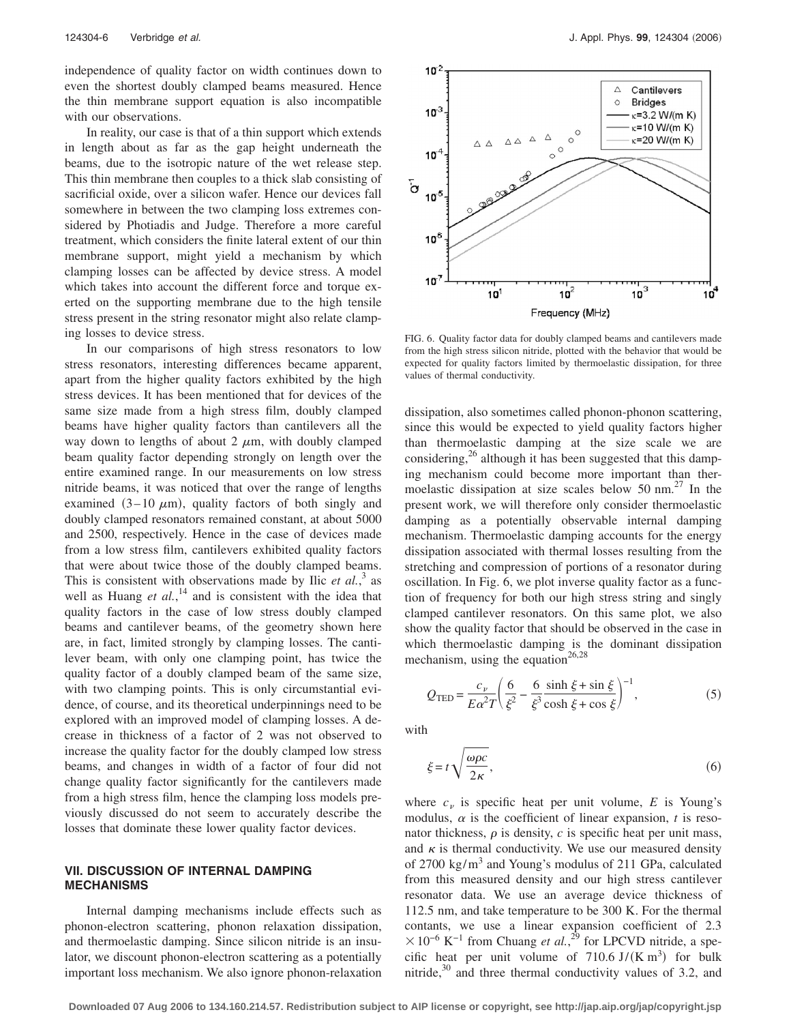independence of quality factor on width continues down to even the shortest doubly clamped beams measured. Hence the thin membrane support equation is also incompatible with our observations.

In reality, our case is that of a thin support which extends in length about as far as the gap height underneath the beams, due to the isotropic nature of the wet release step. This thin membrane then couples to a thick slab consisting of sacrificial oxide, over a silicon wafer. Hence our devices fall somewhere in between the two clamping loss extremes considered by Photiadis and Judge. Therefore a more careful treatment, which considers the finite lateral extent of our thin membrane support, might yield a mechanism by which clamping losses can be affected by device stress. A model which takes into account the different force and torque exerted on the supporting membrane due to the high tensile stress present in the string resonator might also relate clamping losses to device stress.

In our comparisons of high stress resonators to low stress resonators, interesting differences became apparent, apart from the higher quality factors exhibited by the high stress devices. It has been mentioned that for devices of the same size made from a high stress film, doubly clamped beams have higher quality factors than cantilevers all the way down to lengths of about 2  $\mu$ m, with doubly clamped beam quality factor depending strongly on length over the entire examined range. In our measurements on low stress nitride beams, it was noticed that over the range of lengths examined  $(3-10 \mu m)$ , quality factors of both singly and doubly clamped resonators remained constant, at about 5000 and 2500, respectively. Hence in the case of devices made from a low stress film, cantilevers exhibited quality factors that were about twice those of the doubly clamped beams. This is consistent with observations made by Ilic *et al.*,<sup>3</sup> as well as Huang *et al.*,<sup>14</sup> and is consistent with the idea that quality factors in the case of low stress doubly clamped beams and cantilever beams, of the geometry shown here are, in fact, limited strongly by clamping losses. The cantilever beam, with only one clamping point, has twice the quality factor of a doubly clamped beam of the same size, with two clamping points. This is only circumstantial evidence, of course, and its theoretical underpinnings need to be explored with an improved model of clamping losses. A decrease in thickness of a factor of 2 was not observed to increase the quality factor for the doubly clamped low stress beams, and changes in width of a factor of four did not change quality factor significantly for the cantilevers made from a high stress film, hence the clamping loss models previously discussed do not seem to accurately describe the losses that dominate these lower quality factor devices.

## **VII. DISCUSSION OF INTERNAL DAMPING MECHANISMS**

Internal damping mechanisms include effects such as phonon-electron scattering, phonon relaxation dissipation, and thermoelastic damping. Since silicon nitride is an insulator, we discount phonon-electron scattering as a potentially important loss mechanism. We also ignore phonon-relaxation



FIG. 6. Quality factor data for doubly clamped beams and cantilevers made from the high stress silicon nitride, plotted with the behavior that would be expected for quality factors limited by thermoelastic dissipation, for three values of thermal conductivity.

dissipation, also sometimes called phonon-phonon scattering, since this would be expected to yield quality factors higher than thermoelastic damping at the size scale we are considering, $^{26}$  although it has been suggested that this damping mechanism could become more important than thermoelastic dissipation at size scales below 50 nm. $^{27}$  In the present work, we will therefore only consider thermoelastic damping as a potentially observable internal damping mechanism. Thermoelastic damping accounts for the energy dissipation associated with thermal losses resulting from the stretching and compression of portions of a resonator during oscillation. In Fig. 6, we plot inverse quality factor as a function of frequency for both our high stress string and singly clamped cantilever resonators. On this same plot, we also show the quality factor that should be observed in the case in which thermoelastic damping is the dominant dissipation mechanism, using the equation<sup>26,28</sup>

$$
Q_{\text{TED}} = \frac{c_v}{E\alpha^2 T} \left( \frac{6}{\xi^2} - \frac{6}{\xi^3} \frac{\sinh \xi + \sin \xi}{\cosh \xi + \cos \xi} \right)^{-1},\tag{5}
$$

with

$$
\xi = t \sqrt{\frac{\omega \rho c}{2\kappa}},\tag{6}
$$

where  $c<sub>v</sub>$  is specific heat per unit volume, *E* is Young's modulus,  $\alpha$  is the coefficient of linear expansion, *t* is resonator thickness,  $\rho$  is density,  $c$  is specific heat per unit mass, and  $\kappa$  is thermal conductivity. We use our measured density of 2700 kg/ $m<sup>3</sup>$  and Young's modulus of 211 GPa, calculated from this measured density and our high stress cantilever resonator data. We use an average device thickness of 112.5 nm, and take temperature to be 300 K. For the thermal contants, we use a linear expansion coefficient of 2.3  $× 10^{-6}$  K<sup>-1</sup> from Chuang *et al.*,<sup>29</sup> for LPCVD nitride, a specific heat per unit volume of  $710.6 \text{ J/(K m}^3)$  for bulk nitride, $30$  and three thermal conductivity values of 3.2, and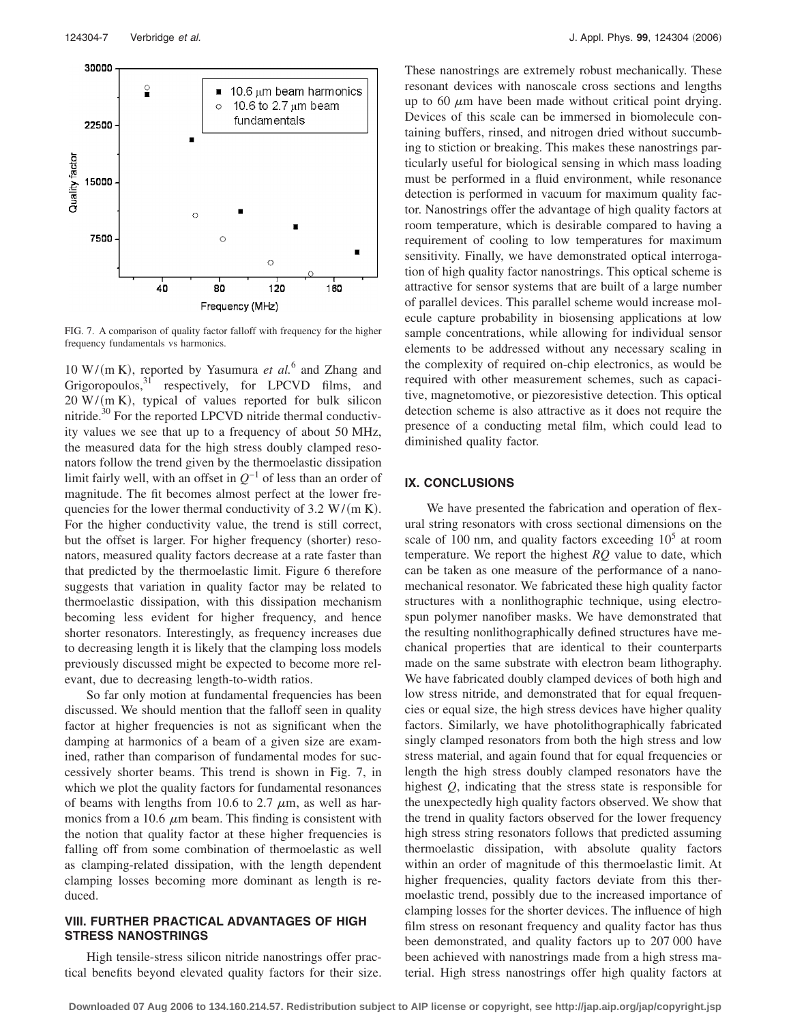

FIG. 7. A comparison of quality factor falloff with frequency for the higher frequency fundamentals vs harmonics.

10 W/(m K), reported by Yasumura et al.<sup>6</sup> and Zhang and Grigoropoulos, $31$  respectively, for LPCVD films, and  $20 W/(m K)$ , typical of values reported for bulk silicon nitride.<sup>30</sup> For the reported LPCVD nitride thermal conductivity values we see that up to a frequency of about 50 MHz, the measured data for the high stress doubly clamped resonators follow the trend given by the thermoelastic dissipation limit fairly well, with an offset in *Q*−1 of less than an order of magnitude. The fit becomes almost perfect at the lower frequencies for the lower thermal conductivity of 3.2  $W/(m K)$ . For the higher conductivity value, the trend is still correct, but the offset is larger. For higher frequency (shorter) resonators, measured quality factors decrease at a rate faster than that predicted by the thermoelastic limit. Figure 6 therefore suggests that variation in quality factor may be related to thermoelastic dissipation, with this dissipation mechanism becoming less evident for higher frequency, and hence shorter resonators. Interestingly, as frequency increases due to decreasing length it is likely that the clamping loss models previously discussed might be expected to become more relevant, due to decreasing length-to-width ratios.

So far only motion at fundamental frequencies has been discussed. We should mention that the falloff seen in quality factor at higher frequencies is not as significant when the damping at harmonics of a beam of a given size are examined, rather than comparison of fundamental modes for successively shorter beams. This trend is shown in Fig. 7, in which we plot the quality factors for fundamental resonances of beams with lengths from 10.6 to 2.7  $\mu$ m, as well as harmonics from a 10.6  $\mu$ m beam. This finding is consistent with the notion that quality factor at these higher frequencies is falling off from some combination of thermoelastic as well as clamping-related dissipation, with the length dependent clamping losses becoming more dominant as length is reduced.

## **VIII. FURTHER PRACTICAL ADVANTAGES OF HIGH STRESS NANOSTRINGS**

High tensile-stress silicon nitride nanostrings offer practical benefits beyond elevated quality factors for their size. These nanostrings are extremely robust mechanically. These resonant devices with nanoscale cross sections and lengths up to 60  $\mu$ m have been made without critical point drying. Devices of this scale can be immersed in biomolecule containing buffers, rinsed, and nitrogen dried without succumbing to stiction or breaking. This makes these nanostrings particularly useful for biological sensing in which mass loading must be performed in a fluid environment, while resonance detection is performed in vacuum for maximum quality factor. Nanostrings offer the advantage of high quality factors at room temperature, which is desirable compared to having a requirement of cooling to low temperatures for maximum sensitivity. Finally, we have demonstrated optical interrogation of high quality factor nanostrings. This optical scheme is attractive for sensor systems that are built of a large number of parallel devices. This parallel scheme would increase molecule capture probability in biosensing applications at low sample concentrations, while allowing for individual sensor elements to be addressed without any necessary scaling in the complexity of required on-chip electronics, as would be required with other measurement schemes, such as capacitive, magnetomotive, or piezoresistive detection. This optical detection scheme is also attractive as it does not require the presence of a conducting metal film, which could lead to diminished quality factor.

#### **IX. CONCLUSIONS**

We have presented the fabrication and operation of flexural string resonators with cross sectional dimensions on the scale of 100 nm, and quality factors exceeding 105 at room temperature. We report the highest *RQ* value to date, which can be taken as one measure of the performance of a nanomechanical resonator. We fabricated these high quality factor structures with a nonlithographic technique, using electrospun polymer nanofiber masks. We have demonstrated that the resulting nonlithographically defined structures have mechanical properties that are identical to their counterparts made on the same substrate with electron beam lithography. We have fabricated doubly clamped devices of both high and low stress nitride, and demonstrated that for equal frequencies or equal size, the high stress devices have higher quality factors. Similarly, we have photolithographically fabricated singly clamped resonators from both the high stress and low stress material, and again found that for equal frequencies or length the high stress doubly clamped resonators have the highest *Q*, indicating that the stress state is responsible for the unexpectedly high quality factors observed. We show that the trend in quality factors observed for the lower frequency high stress string resonators follows that predicted assuming thermoelastic dissipation, with absolute quality factors within an order of magnitude of this thermoelastic limit. At higher frequencies, quality factors deviate from this thermoelastic trend, possibly due to the increased importance of clamping losses for the shorter devices. The influence of high film stress on resonant frequency and quality factor has thus been demonstrated, and quality factors up to 207 000 have been achieved with nanostrings made from a high stress material. High stress nanostrings offer high quality factors at